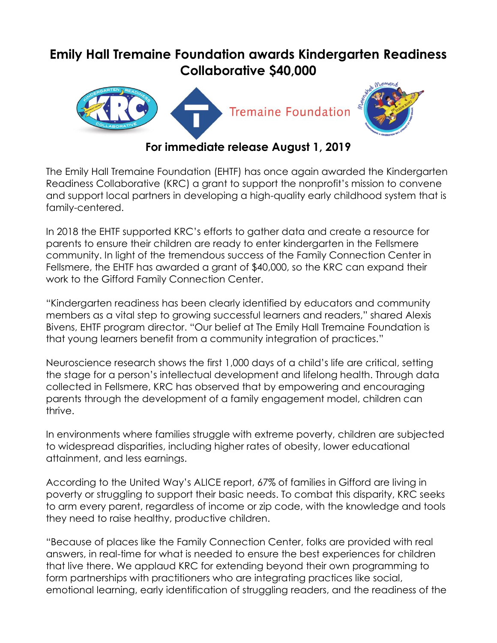## **Emily Hall Tremaine Foundation awards Kindergarten Readiness Collaborative \$40,000**



**For immediate release August 1, 2019**

The Emily Hall Tremaine Foundation (EHTF) has once again awarded the Kindergarten Readiness Collaborative (KRC) a grant to support the nonprofit's mission to convene and support local partners in developing a high-quality early childhood system that is family-centered.

In 2018 the EHTF supported KRC's efforts to gather data and create a resource for parents to ensure their children are ready to enter kindergarten in the Fellsmere community. In light of the tremendous success of the Family Connection Center in Fellsmere, the EHTF has awarded a grant of \$40,000, so the KRC can expand their work to the Gifford Family Connection Center.

"Kindergarten readiness has been clearly identified by educators and community members as a vital step to growing successful learners and readers," shared Alexis Bivens, EHTF program director. "Our belief at The Emily Hall Tremaine Foundation is that young learners benefit from a community integration of practices."

Neuroscience research shows the first 1,000 days of a child's life are critical, setting the stage for a person's intellectual development and lifelong health. Through data collected in Fellsmere, KRC has observed that by empowering and encouraging parents through the development of a family engagement model, children can thrive.

In environments where families struggle with extreme poverty, children are subjected to widespread disparities, including higher rates of obesity, lower educational attainment, and less earnings.

According to the United Way's ALICE report, 67% of families in Gifford are living in poverty or struggling to support their basic needs. To combat this disparity, KRC seeks to arm every parent, regardless of income or zip code, with the knowledge and tools they need to raise healthy, productive children.

"Because of places like the Family Connection Center, folks are provided with real answers, in real-time for what is needed to ensure the best experiences for children that live there. We applaud KRC for extending beyond their own programming to form partnerships with practitioners who are integrating practices like social, emotional learning, early identification of struggling readers, and the readiness of the